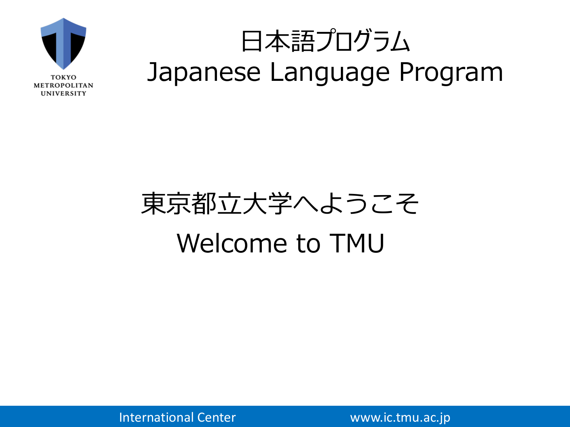

## 日本語プログラム Japanese Language Program

# 東京都立大学へようこそ Welcome to TMU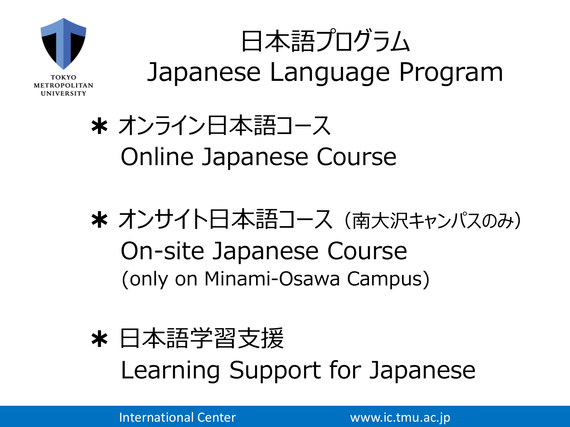

# 日本語プログラム Japanese Language Program

#### ✱ オンライン日本語コース Online Japanese Course

- ✱ オンサイト日本語コース(南大沢キャンパスのみ) On-site Japanese Course (only on Minami-Osawa Campus)
- ✱ 日本語学習支援 Learning Support for Japanese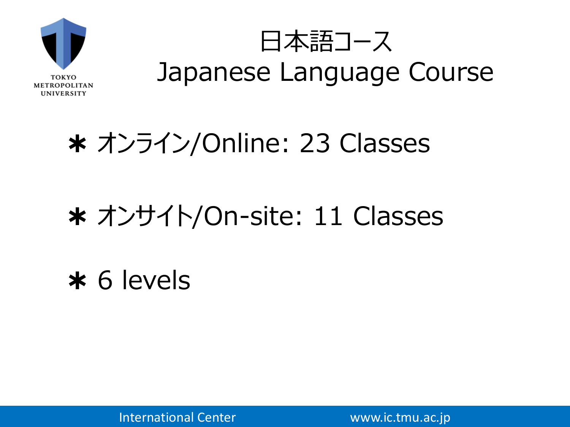

#### ✱ オンライン/Online: 23 Classes

#### ✱ オンサイト/On-site: 11 Classes

✱ 6 levels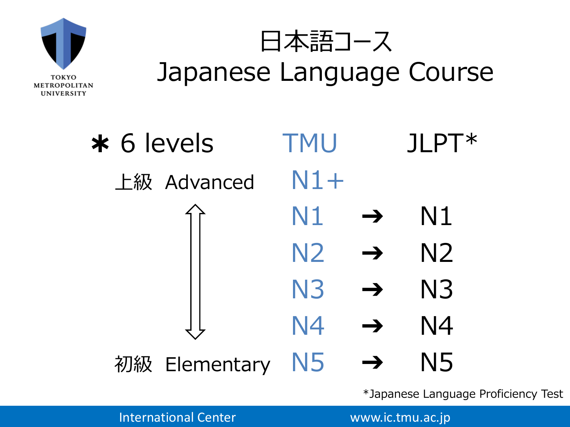

✱ 6 levels TMU JLPT\* 上級 Advanced  $N1+$  $N1 \rightarrow N1$  $N2 \rightarrow N2$  $N3 \rightarrow N3$  $N4 \rightarrow N4$ 初級 Elementary N5 → N5

\*Japanese Language Proficiency Test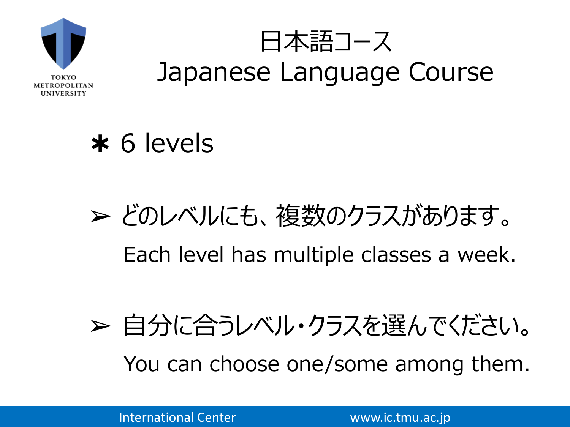

#### ✱ 6 levels

# ➢ どのレベルにも、複数のクラスがあります。 Each level has multiple classes a week.

# ➢ 自分に合うレベル・クラスを選んでください。 You can choose one/some among them.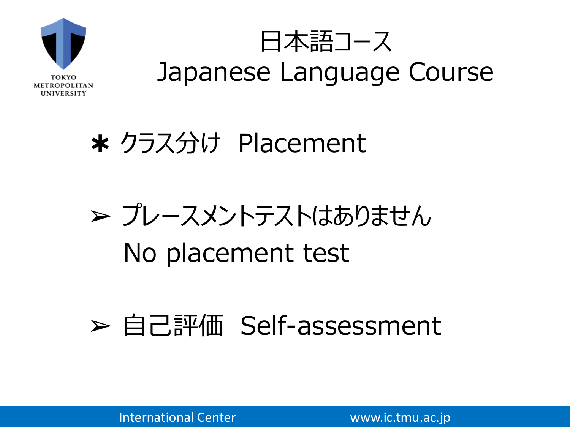

#### ✱ クラス分け Placement

# ➢ プレースメントテストはありません No placement test

#### ➢ 自己評価 Self-assessment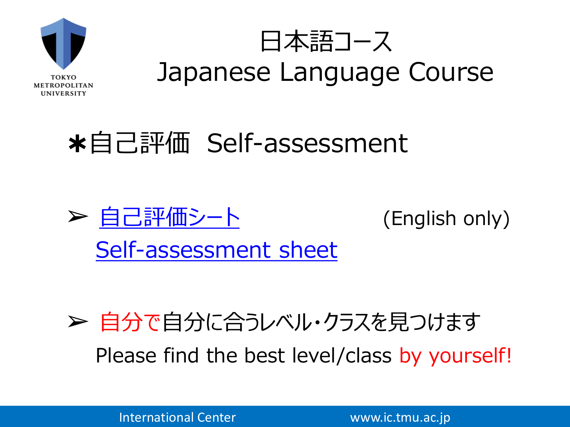

#### ✱自己評価 Self-assessment



#### ➢ 自分で自分に合うレベル・クラスを見つけます Please find the best level/class by yourself!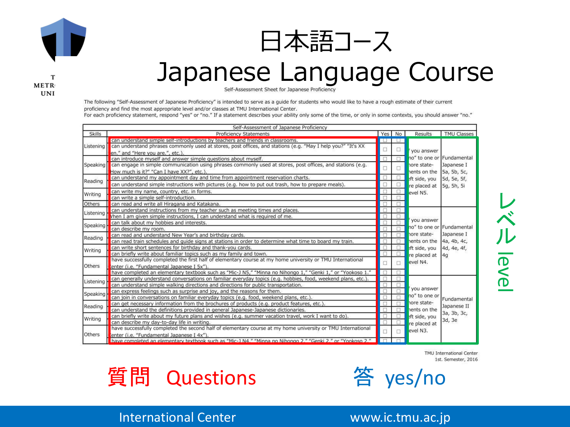

т METR

**UNI** 



#### Japanese Language Course

Self-Assessment Sheet for Japanese Proficiency

The following "Self-Assessment of Japanese Proficiency" is intended to serve as a guide for students who would like to have a rough estimate of their current proficiency and find the most appropriate level and/or classes at TMU International Center.

For each proficiency statement, respond "yes" or "no." If a statement describes your ability only some of the time, or only in some contexts, you should answer "no."



レ ベ ルlevel

TMU International Center 1st. Semester, 2016



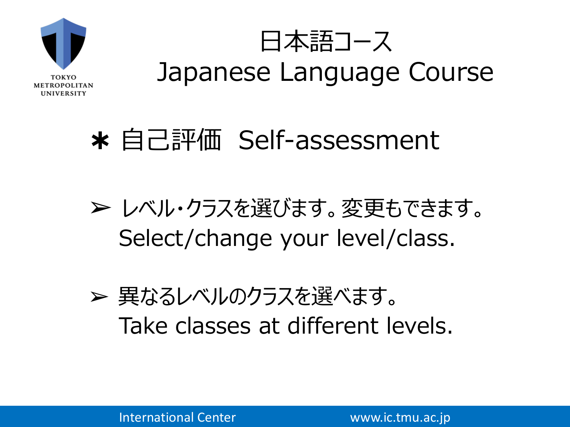

日本語コース Japanese Language Course

#### ✱ 自己評価 Self-assessment

➢ レベル・クラスを選びます。変更もできます。 Select/change your level/class.

➢ 異なるレベルのクラスを選べます。 Take classes at different levels.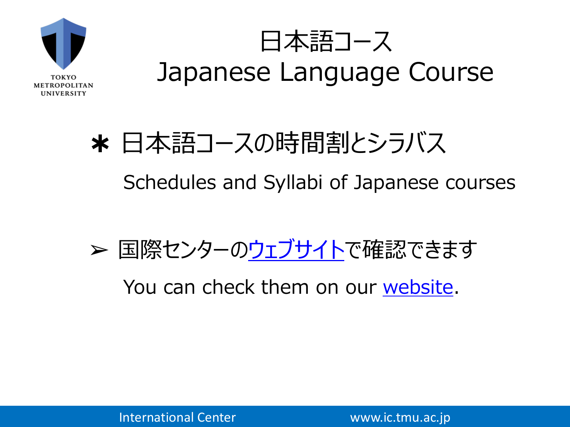

# ✱ 日本語コースの時間割とシラバス Schedules and Syllabi of Japanese courses

➢ 国際センターの[ウェブサイトで](http://www.ic.tmu.ac.jp/study_abroad/jpclass.html)確認できます

You can check them on our [website.](http://www.ic.tmu.ac.jp/english/study_abroad/jpclass.html)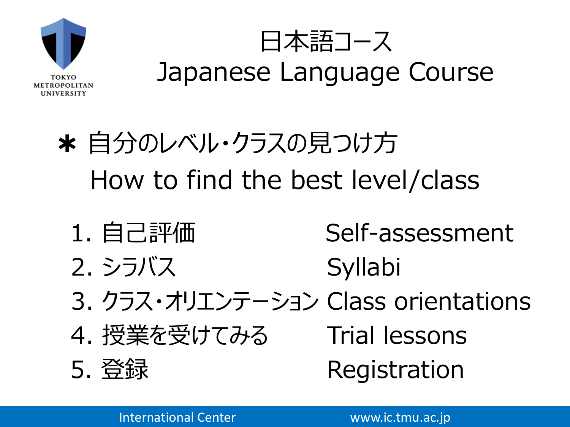

日本語コース Japanese Language Course

# ✱ 自分のレベル・クラスの見つけ方 How to find the best level/class

1. 自己評価 Self-assessment 2. シラバス Syllabi 3. クラス・オリエンテーション Class orientations 4. 授業を受けてみる Trial lessons 5. 登録 Registration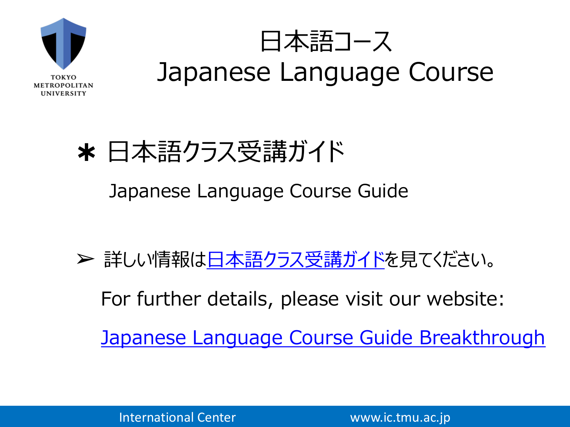

日本語コース Japanese Language Course

## ✱ 日本語クラス受講ガイド Japanese Language Course Guide

> 詳しい情報は[日本語クラス受講ガイドを](https://forms.gle/RVE6561QTuCF3Bc77)見てください。 For further details, please visit our website: [Japanese Language Course Guide Breakthrough](https://forms.gle/RVE6561QTuCF3Bc77)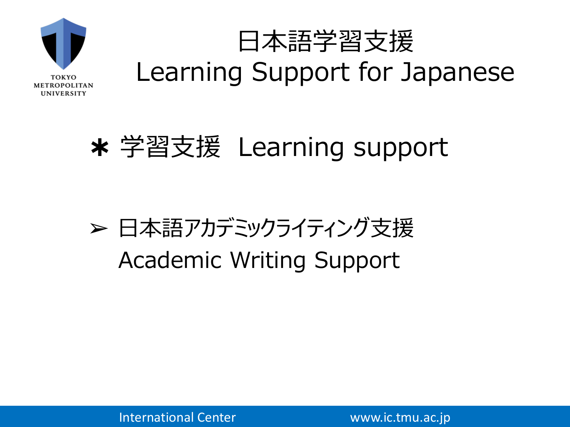

# 日本語学習支援 Learning Support for Japanese

#### ✱ 学習支援 Learning support

#### ➢ 日本語アカデミックライティング支援 Academic Writing Support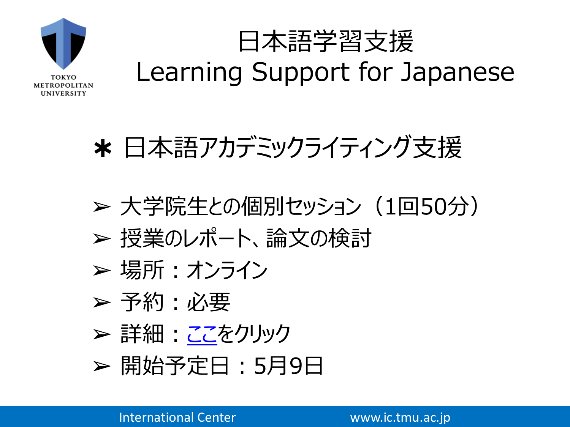

# 日本語学習支援 Learning Support for Japanese

✱ 日本語アカデミックライティング支援

- ➢ 大学院生との個別セッション(1回50分) ➢ 授業のレポート、論文の検討
- ➢ 場所:オンライン
- ➢ 予約:必要
- ➢ 詳細[:ここを](https://www.ic.tmu.ac.jp/study_abroad/jpacademic.html)クリック
- ➢ 開始予定日:5月9日